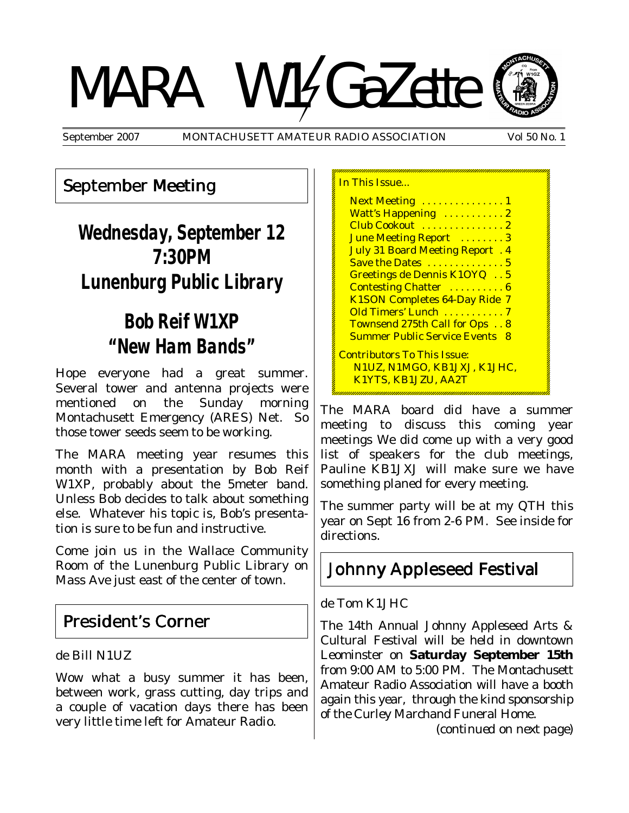# MARA W14GaZette



September 2007 MONTACHUSETT AMATEUR RADIO ASSOCIATION Vol 50 No. 1

In This Issue...

#### September Meeting

# **Wednesday, September 12 7:30PM Lunenburg Public Library**

# **Bob Reif W1XP "New Ham Bands"**

Hope everyone had a great summer. Several tower and antenna projects were mentioned on the Sunday morning Montachusett Emergency (ARES) Net. So those tower seeds seem to be working.

The MARA meeting year resumes this month with a presentation by Bob Reif W1XP, probably about the 5meter band. Unless Bob decides to talk about something else. Whatever his topic is, Bob's presentation is sure to be fun and instructive.

Come join us in the Wallace Community Room of the Lunenburg Public Library on Mass Ave just east of the center of town.

#### President's Corner

de Bill N1UZ

Wow what a busy summer it has been, between work, grass cutting, day trips and a couple of vacation days there has been very little time left for Amateur Radio.

| Next Meeting  1                                            |  |
|------------------------------------------------------------|--|
| Watt's Happening  2                                        |  |
| Club Cookout  2                                            |  |
| June Meeting Report  3                                     |  |
| <b>July 31 Board Meeting Report. 4</b>                     |  |
| Save the Dates  5                                          |  |
| Greetings de Dennis K1OYQ 5                                |  |
| <b>Contesting Chatter  6</b>                               |  |
| <b>K1SON Completes 64-Day Ride 7</b>                       |  |
| <u>Old Timers' Lunch 7</u>                                 |  |
| Townsend 275th Call for Ops 8                              |  |
| <b>Summer Public Service Events 8</b>                      |  |
| Contributors To This Issue:<br>N1UZ, N1MGO, KB1JXJ, K1JHC, |  |
| K1YTS, KB1JZU, AA2T                                        |  |
|                                                            |  |

The MARA board did have a summer meeting to discuss this coming year meetings We did come up with a very good list of speakers for the club meetings, Pauline KB1JXJ will make sure we have something planed for every meeting.

The summer party will be at my QTH this year on Sept 16 from 2-6 PM. See inside for directions.

#### Johnny Appleseed Festival Johnny Appleseed Festival

de Tom K1JHC

The 14th Annual Johnny Appleseed Arts & Cultural Festival will be held in downtown Leominster on **Saturday September 15th** from 9:00 AM to 5:00 PM. The Montachusett Amateur Radio Association will have a booth again this year, through the kind sponsorship of the Curley Marchand Funeral Home.

(*continued on next page*)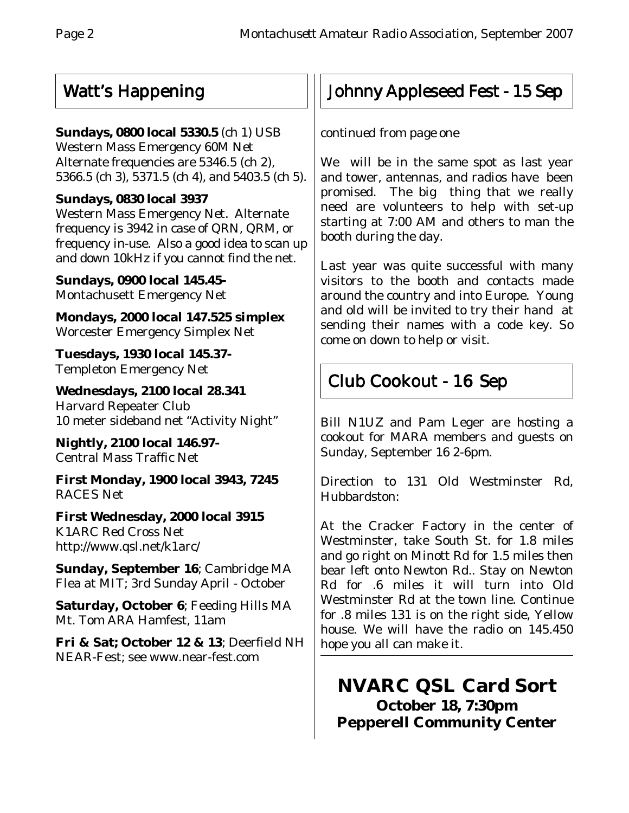#### Watt's Happening

#### **Sundays, 0800 local 5330.5** (ch 1) USB

Western Mass Emergency 60M Net Alternate frequencies are 5346.5 (ch 2), 5366.5 (ch 3), 5371.5 (ch 4), and 5403.5 (ch 5).

#### **Sundays, 0830 local 3937**

Western Mass Emergency Net. Alternate frequency is 3942 in case of QRN, QRM, or frequency in-use. Also a good idea to scan up and down 10kHz if you cannot find the net.

**Sundays, 0900 local 145.45-** Montachusett Emergency Net

**Mondays, 2000 local 147.525 simplex** Worcester Emergency Simplex Net

**Tuesdays, 1930 local 145.37-** Templeton Emergency Net

**Wednesdays, 2100 local 28.341** Harvard Repeater Club 10 meter sideband net "Activity Night"

**Nightly, 2100 local 146.97-** Central Mass Traffic Net

**First Monday, 1900 local 3943, 7245** RACES Net

**First Wednesday, 2000 local 3915** K1ARC Red Cross Net http://www.qsl.net/k1arc/

**Sunday, September 16**; Cambridge MA Flea at MIT; 3rd Sunday April - October

**Saturday, October 6**; Feeding Hills MA Mt. Tom ARA Hamfest, 11am

**Fri & Sat; October 12 & 13**; Deerfield NH NEAR-Fest; see www.near-fest.com

# Johnny Appleseed Fest - 15 Sep

#### *continued from page one*

We will be in the same spot as last year and tower, antennas, and radios have been promised. The big thing that we really need are volunteers to help with set-up starting at 7:00 AM and others to man the booth during the day.

Last year was quite successful with many visitors to the booth and contacts made around the country and into Europe. Young and old will be invited to try their hand at sending their names with a code key. So come on down to help or visit.

# Club Cookout - 16 Sep

Bill N1UZ and Pam Leger are hosting a cookout for MARA members and guests on Sunday, September 16 2-6pm.

Direction to 131 Old Westminster Rd, Hubbardston:

At the Cracker Factory in the center of Westminster, take South St. for 1.8 miles and go right on Minott Rd for 1.5 miles then bear left onto Newton Rd.. Stay on Newton Rd for .6 miles it will turn into Old Westminster Rd at the town line. Continue for .8 miles 131 is on the right side, Yellow house. We will have the radio on 145.450 hope you all can make it.

**NVARC QSL Card Sort October 18, 7:30pm Pepperell Community Center**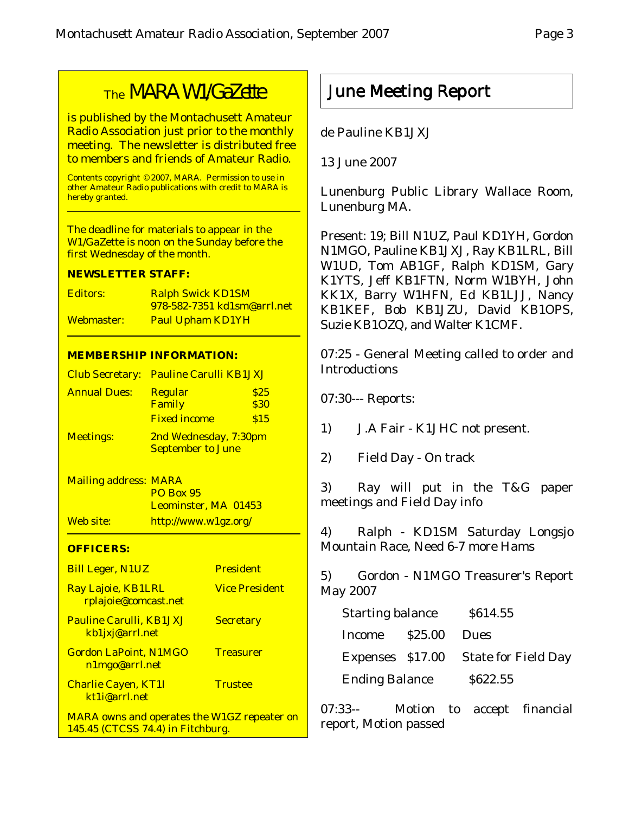## The MARA W1/GaZette

is published by the Montachusett Amateur Radio Association just prior to the monthly meeting. The newsletter is distributed free to members and friends of Amateur Radio.

Contents copyright © 2007, MARA. Permission to use in other Amateur Radio publications with credit to MARA is hereby granted.

The deadline for materials to appear in the W1/GaZette is noon on the Sunday before the first Wednesday of the month.

#### **NEWSLETTER STAFF:**

| Editors:   | <b>Ralph Swick KD1SM</b>            |
|------------|-------------------------------------|
|            | <u>978-582-7351 kd1sm@arrl.net_</u> |
| Webmaster: | <b>Paul Upham KD1YH</b>             |

#### **MEMBERSHIP INFORMATION:**

|                     | Club Secretary: Pauline Carulli KB1JXJ |      |
|---------------------|----------------------------------------|------|
| <b>Annual Dues:</b> | <b>Regular</b>                         | \$25 |
|                     | Family                                 | \$30 |
|                     | <b>Fixed income</b>                    | \$15 |
| <b>Meetings:</b>    | 2nd Wednesday, 7:30pm                  |      |
|                     | <b>September to June</b>               |      |

Mailing address: MARA PO Box 95 Leominster, MA 01453 Web site: http://www.w1gz.org/

#### **OFFICERS:**

| <b>Bill Leger, N1UZ</b>                                                                 | <b>President</b>      |
|-----------------------------------------------------------------------------------------|-----------------------|
| Ray Lajoie, KB1LRL<br>rplajoie@comcast.net                                              | <b>Vice President</b> |
| <b>Pauline Carulli, KB1JXJ</b><br>kb1jxj@arrl.net                                       | <b>Secretary</b>      |
| <b>Gordon LaPoint, N1MGO</b><br>n1mgo@arrl.net                                          | <b>Treasurer</b>      |
| <b>Charlie Cayen, KT1I</b><br>kt1i@arrl.net                                             | <b>Trustee</b>        |
| <b>MARA owns and operates the W1GZ repeater on</b><br>145.45 (CTCSS 74.4) in Fitchburg. |                       |

#### June Meeting Report

de Pauline KB1JXJ

13 June 2007

Lunenburg Public Library Wallace Room, Lunenburg MA.

Present: 19; Bill N1UZ, Paul KD1YH, Gordon N1MGO, Pauline KB1JXJ, Ray KB1LRL, Bill W1UD, Tom AB1GF, Ralph KD1SM, Gary K1YTS, Jeff KB1FTN, Norm W1BYH, John KK1X, Barry W1HFN, Ed KB1LJJ, Nancy KB1KEF, Bob KB1JZU, David KB1OPS, Suzie KB1OZQ, and Walter K1CMF.

07:25 - General Meeting called to order and **Introductions** 

07:30--- Reports:

1) J.A Fair - K1JHC not present.

2) Field Day - On track

3) Ray will put in the T&G paper meetings and Field Day info

4) Ralph - KD1SM Saturday Longsjo Mountain Race, Need 6-7 more Hams

5) Gordon - N1MGO Treasurer's Report May 2007

| <b>Starting balance</b> |  | \$614.55                             |
|-------------------------|--|--------------------------------------|
| Income \$25.00 Dues     |  |                                      |
|                         |  | Expenses \$17.00 State for Field Day |
| <b>Ending Balance</b>   |  | \$622.55                             |

07:33-- Motion to accept financial report, Motion passed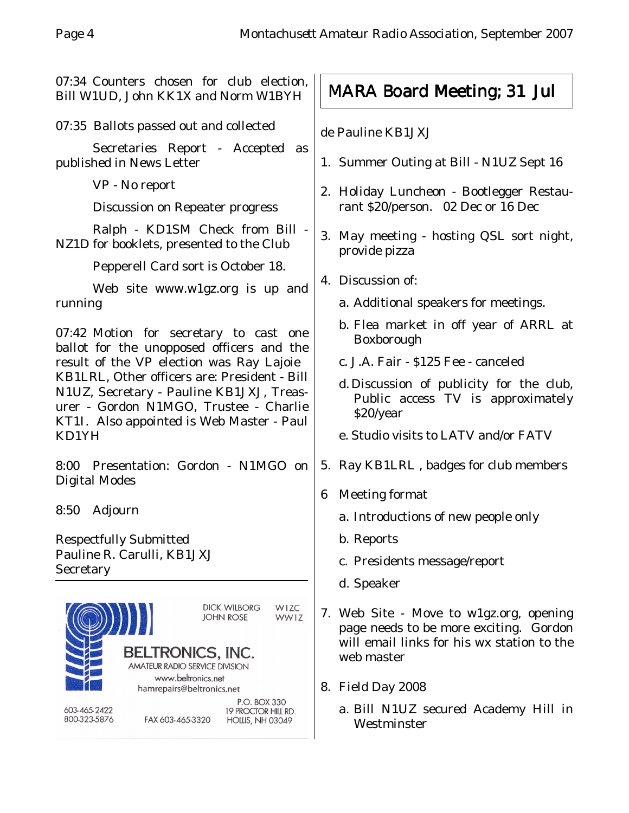07:34 Counters chosen for club election, Bill W1UD, John KK1X and Norm W1BYH

07:35 Ballots passed out and collected

Secretaries Report - Accepted as published in News Letter

VP - No report

Discussion on Repeater progress

Ralph - KD1SM Check from Bill - NZ1D for booklets, presented to the Club

Pepperell Card sort is October 18.

Web site www.w1gz.org is up and running

07:42 Motion for secretary to cast one ballot for the unopposed officers and the result of the VP election was Ray Lajoie KB1LRL, Other officers are: President - Bill N1UZ, Secretary - Pauline KB1JXJ, Treasurer - Gordon N1MGO, Trustee - Charlie KT1I. Also appointed is Web Master - Paul KD1YH

8:00 Presentation: Gordon - N1MGO on Digital Modes

8:50 Adjourn

Respectfully Submitted Pauline R. Carulli, KB1JXJ **Secretary** 



# MARA Board Meeting; 31 Jul

de Pauline KB1JXJ

- 1. Summer Outing at Bill N1UZ Sept 16
- 2. Holiday Luncheon Bootlegger Restaurant \$20/person. 02 Dec or 16 Dec
- 3. May meeting hosting QSL sort night, provide pizza
- 4. Discussion of:
	- a. Additional speakers for meetings.
	- b. Flea market in off year of ARRL at Boxborough
	- c. J.A. Fair \$125 Fee canceled
	- d. Discussion of publicity for the club, Public access TV is approximately \$20/year
	- e. Studio visits to LATV and/or FATV
- 5. Ray KB1LRL , badges for club members
- 6 Meeting format
	- a. Introductions of new people only
	- b. Reports
	- c. Presidents message/report
	- d. Speaker
- 7. Web Site Move to w1gz.org, opening page needs to be more exciting. Gordon will email links for his wx station to the web master
- 8. Field Day 2008
	- a. Bill N1UZ secured Academy Hill in Westminster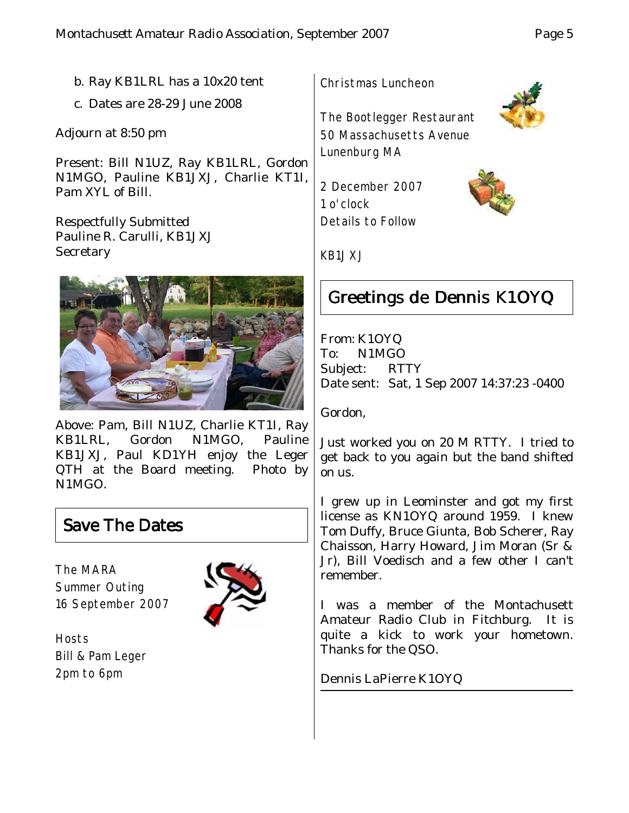- b. Ray KB1LRL has a 10x20 tent
- c. Dates are 28-29 June 2008

Adjourn at 8:50 pm

Present: Bill N1UZ, Ray KB1LRL, Gordon N1MGO, Pauline KB1JXJ, Charlie KT1I, Pam XYL of Bill.

Respectfully Submitted Pauline R. Carulli, KB1JXJ **Secretary** 



Above: Pam, Bill N1UZ, Charlie KT1I, Ray KB1LRL, Gordon N1MGO, Pauline KB1JXJ, Paul KD1YH enjoy the Leger QTH at the Board meeting. Photo by N1MGO.

#### Save The Dates

The MARA Summer Outing 16 September 2007



**Hosts** Bill & Pam Leger 2pm to 6pm



The Bootlegger Restaurant 50 Massachusetts Avenue Lunenburg MA

2 December 2007 1 o'clock Details to Follow

KB1JXJ

## Greetings de Dennis K1OYQ

From: K1OYQ To: N1MGO Subject: RTTY Date sent: Sat, 1 Sep 2007 14:37:23 -0400

Gordon,

Just worked you on 20 M RTTY. I tried to get back to you again but the band shifted on us.

I grew up in Leominster and got my first license as KN1OYQ around 1959. I knew Tom Duffy, Bruce Giunta, Bob Scherer, Ray Chaisson, Harry Howard, Jim Moran (Sr & Jr), Bill Voedisch and a few other I can't remember.

I was a member of the Montachusett Amateur Radio Club in Fitchburg. It is quite a kick to work your hometown. Thanks for the QSO.

Dennis LaPierre K1OYQ



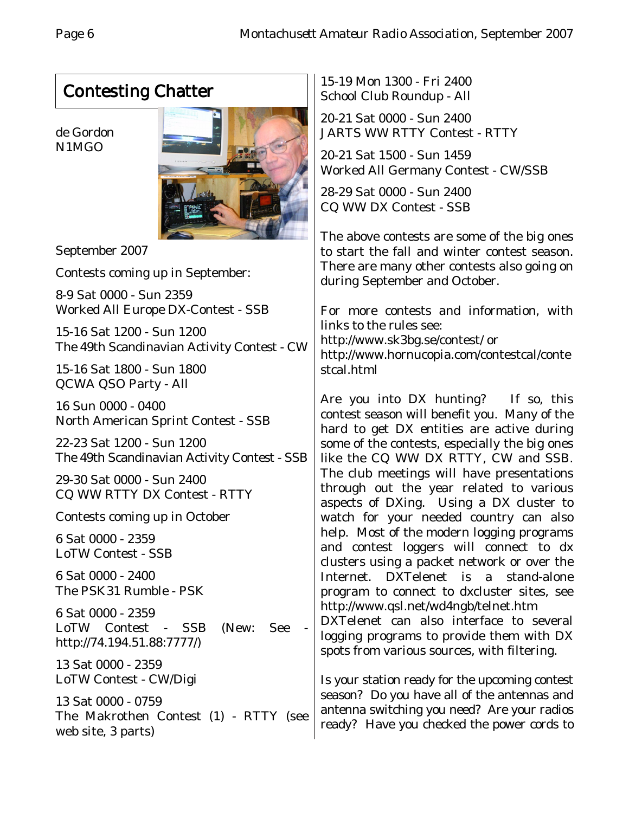# Contesting Chatter

de Gordon N1MGO



September 2007

Contests coming up in September:

8-9 Sat 0000 - Sun 2359 Worked All Europe DX-Contest - SSB

15-16 Sat 1200 - Sun 1200 The 49th Scandinavian Activity Contest - CW

15-16 Sat 1800 - Sun 1800 QCWA QSO Party - All

16 Sun 0000 - 0400 North American Sprint Contest - SSB

22-23 Sat 1200 - Sun 1200 The 49th Scandinavian Activity Contest - SSB

29-30 Sat 0000 - Sun 2400 CQ WW RTTY DX Contest - RTTY

Contests coming up in October

6 Sat 0000 - 2359 LoTW Contest - SSB

6 Sat 0000 - 2400 The PSK31 Rumble - PSK

6 Sat 0000 - 2359 LoTW Contest - SSB (New: See http://74.194.51.88:7777/)

13 Sat 0000 - 2359 LoTW Contest - CW/Digi

13 Sat 0000 - 0759 The Makrothen Contest (1) - RTTY (see web site, 3 parts)

15-19 Mon 1300 - Fri 2400 School Club Roundup - All

20-21 Sat 0000 - Sun 2400 JARTS WW RTTY Contest - RTTY

20-21 Sat 1500 - Sun 1459 Worked All Germany Contest - CW/SSB

28-29 Sat 0000 - Sun 2400 CQ WW DX Contest - SSB

The above contests are some of the big ones to start the fall and winter contest season. There are many other contests also going on during September and October.

For more contests and information, with links to the rules see: http://www.sk3bg.se/contest/ or http://www.hornucopia.com/contestcal/conte stcal.html

Are you into DX hunting? If so, this contest season will benefit you. Many of the hard to get DX entities are active during some of the contests, especially the big ones like the CQ WW DX RTTY, CW and SSB. The club meetings will have presentations through out the year related to various aspects of DXing. Using a DX cluster to watch for your needed country can also help. Most of the modern logging programs and contest loggers will connect to dx clusters using a packet network or over the Internet. DXTelenet is a stand-alone program to connect to dxcluster sites, see http://www.qsl.net/wd4ngb/telnet.htm

DXTelenet can also interface to several logging programs to provide them with DX spots from various sources, with filtering.

Is your station ready for the upcoming contest season? Do you have all of the antennas and antenna switching you need? Are your radios ready? Have you checked the power cords to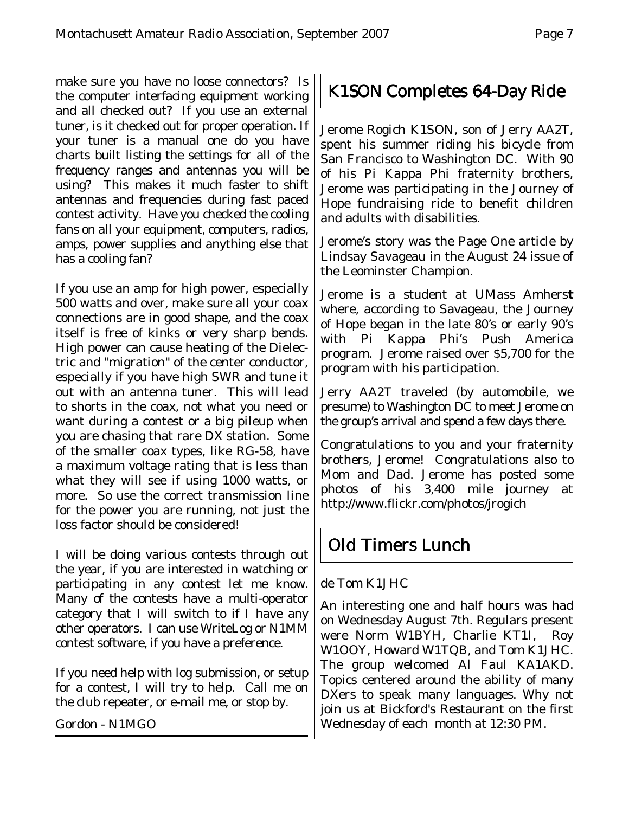make sure you have no loose connectors? Is the computer interfacing equipment working and all checked out? If you use an external tuner, is it checked out for proper operation. If your tuner is a manual one do you have charts built listing the settings for all of the frequency ranges and antennas you will be using? This makes it much faster to shift antennas and frequencies during fast paced contest activity. Have you checked the cooling fans on all your equipment, computers, radios, amps, power supplies and anything else that has a cooling fan?

If you use an amp for high power, especially 500 watts and over, make sure all your coax connections are in good shape, and the coax itself is free of kinks or very sharp bends. High power can cause heating of the Dielectric and "migration" of the center conductor, especially if you have high SWR and tune it out with an antenna tuner. This will lead to shorts in the coax, not what you need or want during a contest or a big pileup when you are chasing that rare DX station. Some of the smaller coax types, like RG-58, have a maximum voltage rating that is less than what they will see if using 1000 watts, or more. So use the correct transmission line for the power you are running, not just the loss factor should be considered!

I will be doing various contests through out the year, if you are interested in watching or participating in any contest let me know. Many of the contests have a multi-operator category that I will switch to if I have any other operators. I can use WriteLog or N1MM contest software, if you have a preference.

If you need help with log submission, or setup for a contest, I will try to help. Call me on the club repeater, or e-mail me, or stop by.

Gordon - N1MGO

#### K1SON Completes 64-Day Ride

Jerome Rogich K1SON, son of Jerry AA2T, spent his summer riding his bicycle from San Francisco to Washington DC. With 90 of his Pi Kappa Phi fraternity brothers, Jerome was participating in the Journey of Hope fundraising ride to benefit children and adults with disabilities.

Jerome's story was the Page One article by Lindsay Savageau in the August 24 issue of the Leominster Champion.

Jerome is a student at UMass Amhers**t** where, according to Savageau, the Journey of Hope began in the late 80's or early 90's with Pi Kappa Phi's Push America program. Jerome raised over \$5,700 for the program with his participation.

Jerry AA2T traveled (by automobile, we presume) to Washington DC to meet Jerome on the group's arrival and spend a few days there.

Congratulations to you and your fraternity brothers, Jerome! Congratulations also to Mom and Dad. Jerome has posted some photos of his 3,400 mile journey at http://www.flickr.com/photos/jrogich

#### Old Timers Lunch

de Tom K1JHC

An interesting one and half hours was had on Wednesday August 7th. Regulars present were Norm W1BYH, Charlie KT1I, Roy W1OOY, Howard W1TQB, and Tom K1JHC. The group welcomed Al Faul KA1AKD. Topics centered around the ability of many DXers to speak many languages. Why not join us at Bickford's Restaurant on the first Wednesday of each month at 12:30 PM.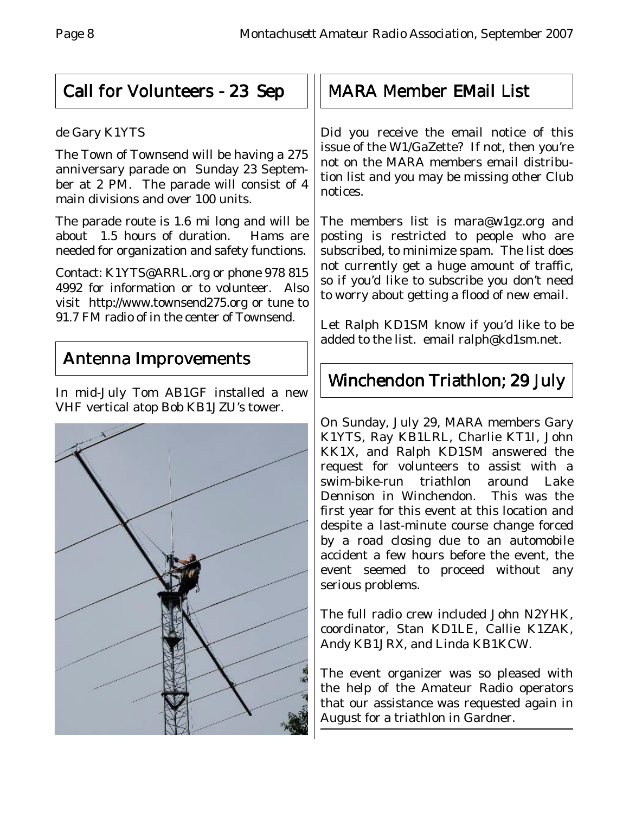#### Call for Volunteers - 23 Sep

#### de Gary K1YTS

The Town of Townsend will be having a 275 anniversary parade on Sunday 23 September at 2 PM. The parade will consist of 4 main divisions and over 100 units.

The parade route is 1.6 mi long and will be about 1.5 hours of duration. Hams are needed for organization and safety functions.

Contact: K1YTS@ARRL.org or phone 978 815 4992 for information or to volunteer. Also visit http://www.townsend275.org or tune to 91.7 FM radio of in the center of Townsend.

#### Antenna Improvements

In mid-July Tom AB1GF installed a new VHF vertical atop Bob KB1JZU's tower.



## **MARA Member EMail List**

Did you receive the email notice of this issue of the W1/GaZette? If not, then you're not on the MARA members email distribution list and you may be missing other Club notices.

The members list is mara@w1gz.org and posting is restricted to people who are subscribed, to minimize spam. The list does not currently get a huge amount of traffic, so if you'd like to subscribe you don't need to worry about getting a flood of new email.

Let Ralph KD1SM know if you'd like to be added to the list. email ralph@kd1sm.net.

# Winchendon Triathlon; 29 July

On Sunday, July 29, MARA members Gary K1YTS, Ray KB1LRL, Charlie KT1I, John KK1X, and Ralph KD1SM answered the request for volunteers to assist with a swim-bike-run triathlon around Lake Dennison in Winchendon. This was the first year for this event at this location and despite a last-minute course change forced by a road closing due to an automobile accident a few hours before the event, the event seemed to proceed without any serious problems.

The full radio crew included John N2YHK, coordinator, Stan KD1LE, Callie K1ZAK, Andy KB1JRX, and Linda KB1KCW.

The event organizer was so pleased with the help of the Amateur Radio operators that our assistance was requested again in August for a triathlon in Gardner.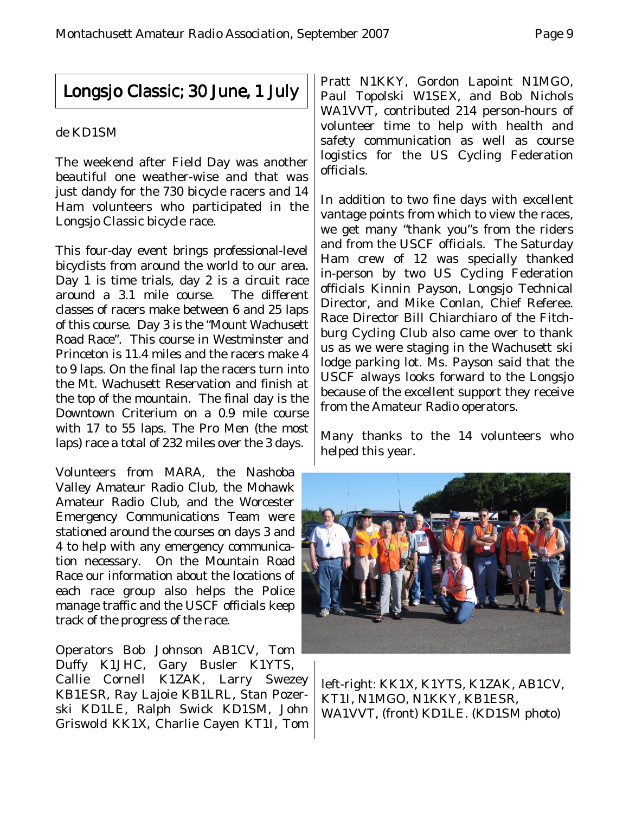#### Longsjo Classic; 30 June, 1 July

#### de KD1SM

The weekend after Field Day was another beautiful one weather-wise and that was just dandy for the 730 bicycle racers and 14 Ham volunteers who participated in the Longsjo Classic bicycle race.

This four-day event brings professional-level bicyclists from around the world to our area. Day 1 is time trials, day 2 is a circuit race around a 3.1 mile course. The different classes of racers make between 6 and 25 laps of this course. Day 3 is the "Mount Wachusett Road Race". This course in Westminster and Princeton is 11.4 miles and the racers make 4 to 9 laps. On the final lap the racers turn into the Mt. Wachusett Reservation and finish at the top of the mountain. The final day is the Downtown Criterium on a 0.9 mile course with 17 to 55 laps. The Pro Men (the most laps) race a total of 232 miles over the 3 days.

Volunteers from MARA, the Nashoba Valley Amateur Radio Club, the Mohawk Amateur Radio Club, and the Worcester Emergency Communications Team were stationed around the courses on days 3 and 4 to help with any emergency communication necessary. On the Mountain Road Race our information about the locations of each race group also helps the Police manage traffic and the USCF officials keep track of the progress of the race.

Operators Bob Johnson AB1CV, Tom Duffy K1JHC, Gary Busler K1YTS, Callie Cornell K1ZAK, Larry Swezey KB1ESR, Ray Lajoie KB1LRL, Stan Pozerski KD1LE, Ralph Swick KD1SM, John Griswold KK1X, Charlie Cayen KT1I, Tom

Pratt N1KKY, Gordon Lapoint N1MGO, Paul Topolski W1SEX, and Bob Nichols WA1VVT, contributed 214 person-hours of volunteer time to help with health and safety communication as well as course logistics for the US Cycling Federation officials.

In addition to two fine days with excellent vantage points from which to view the races, we get many "thank you"s from the riders and from the USCF officials. The Saturday Ham crew of 12 was specially thanked in-person by two US Cycling Federation officials Kinnin Payson, Longsjo Technical Director, and Mike Conlan, Chief Referee. Race Director Bill Chiarchiaro of the Fitchburg Cycling Club also came over to thank us as we were staging in the Wachusett ski lodge parking lot. Ms. Payson said that the USCF always looks forward to the Longsjo because of the excellent support they receive from the Amateur Radio operators.

Many thanks to the 14 volunteers who helped this year.



left-right: KK1X, K1YTS, K1ZAK, AB1CV, KT1I, N1MGO, N1KKY, KB1ESR, WA1VVT, (front) KD1LE. (KD1SM photo)